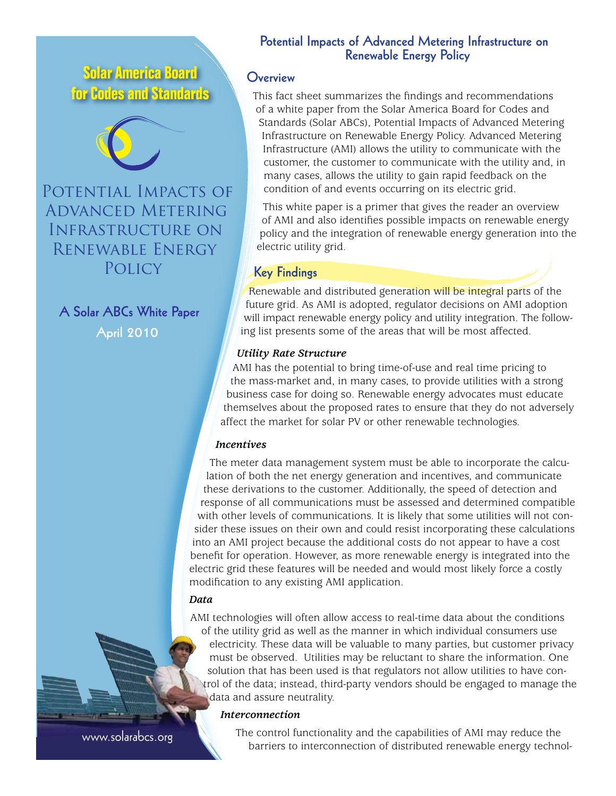**Solar America Board for Codes and Standards**



POTENTIAL IMPACTS OF Advanced Metering Infrastructure on Renewable Energy **POLICY** 

#### **A Solar ABCs White Paper**

**April 2010**

# **Potential Impacts of Advanced Metering Infrastructure on Renewable Energy Policy**

## **Overview**

This fact sheet summarizes the findings and recommendations of a white paper from the Solar America Board for Codes and Standards (Solar ABCs), Potential Impacts of Advanced Metering Infrastructure on Renewable Energy Policy. Advanced Metering Infrastructure (AMI) allows the utility to communicate with the customer, the customer to communicate with the utility and, in many cases, allows the utility to gain rapid feedback on the condition of and events occurring on its electric grid.

This white paper is a primer that gives the reader an overview of AMI and also identifies possible impacts on renewable energy policy and the integration of renewable energy generation into the electric utility grid.

# **Key Findings**

Renewable and distributed generation will be integral parts of the future grid. As AMI is adopted, regulator decisions on AMI adoption will impact renewable energy policy and utility integration. The following list presents some of the areas that will be most affected.

## *Utility Rate Structure*

AMI has the potential to bring time-of-use and real time pricing to the mass-market and, in many cases, to provide utilities with a strong business case for doing so. Renewable energy advocates must educate themselves about the proposed rates to ensure that they do not adversely affect the market for solar PV or other renewable technologies.

## *Incentives*

The meter data management system must be able to incorporate the calculation of both the net energy generation and incentives, and communicate these derivations to the customer. Additionally, the speed of detection and response of all communications must be assessed and determined compatible with other levels of communications. It is likely that some utilities will not consider these issues on their own and could resist incorporating these calculations into an AMI project because the additional costs do not appear to have a cost benefit for operation. However, as more renewable energy is integrated into the electric grid these features will be needed and would most likely force a costly modification to any existing AMI application.

## *Data*

AMI technologies will often allow access to real-time data about the conditions of the utility grid as well as the manner in which individual consumers use electricity. These data will be valuable to many parties, but customer privacy must be observed. Utilities may be reluctant to share the information. One solution that has been used is that regulators not allow utilities to have control of the data; instead, third-party vendors should be engaged to manage the data and assure neutrality.

#### *Interconnection*

www.solarabcs.org

The control functionality and the capabilities of AMI may reduce the barriers to interconnection of distributed renewable energy technol-